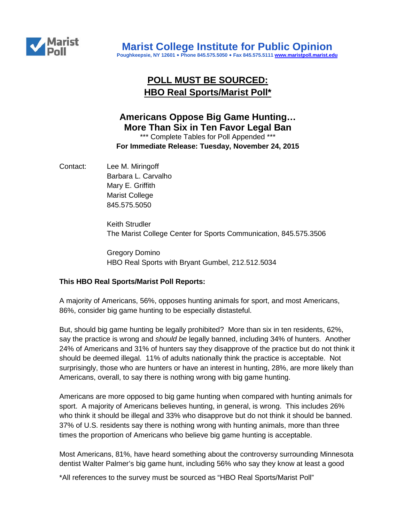

# **POLL MUST BE SOURCED: HBO Real Sports/Marist Poll\***

## **Americans Oppose Big Game Hunting… More Than Six in Ten Favor Legal Ban**

\*\*\* Complete Tables for Poll Appended \*\*\* **For Immediate Release: Tuesday, November 24, 2015**

Contact: Lee M. Miringoff Barbara L. Carvalho Mary E. Griffith Marist College 845.575.5050

> Keith Strudler The Marist College Center for Sports Communication, 845.575.3506

Gregory Domino HBO Real Sports with Bryant Gumbel, 212.512.5034

### **This HBO Real Sports/Marist Poll Reports:**

A majority of Americans, 56%, opposes hunting animals for sport, and most Americans, 86%, consider big game hunting to be especially distasteful.

But, should big game hunting be legally prohibited? More than six in ten residents, 62%, say the practice is wrong and *should be* legally banned, including 34% of hunters. Another 24% of Americans and 31% of hunters say they disapprove of the practice but do not think it should be deemed illegal. 11% of adults nationally think the practice is acceptable. Not surprisingly, those who are hunters or have an interest in hunting, 28%, are more likely than Americans, overall, to say there is nothing wrong with big game hunting.

Americans are more opposed to big game hunting when compared with hunting animals for sport. A majority of Americans believes hunting, in general, is wrong. This includes 26% who think it should be illegal and 33% who disapprove but do not think it should be banned. 37% of U.S. residents say there is nothing wrong with hunting animals, more than three times the proportion of Americans who believe big game hunting is acceptable.

Most Americans, 81%, have heard something about the controversy surrounding Minnesota dentist Walter Palmer's big game hunt, including 56% who say they know at least a good

\*All references to the survey must be sourced as "HBO Real Sports/Marist Poll"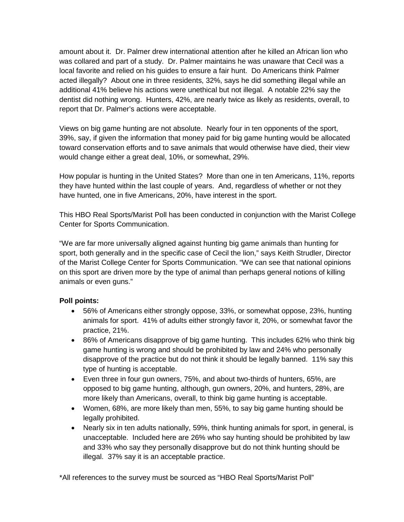amount about it. Dr. Palmer drew international attention after he killed an African lion who was collared and part of a study. Dr. Palmer maintains he was unaware that Cecil was a local favorite and relied on his guides to ensure a fair hunt. Do Americans think Palmer acted illegally? About one in three residents, 32%, says he did something illegal while an additional 41% believe his actions were unethical but not illegal. A notable 22% say the dentist did nothing wrong. Hunters, 42%, are nearly twice as likely as residents, overall, to report that Dr. Palmer's actions were acceptable.

Views on big game hunting are not absolute. Nearly four in ten opponents of the sport, 39%, say, if given the information that money paid for big game hunting would be allocated toward conservation efforts and to save animals that would otherwise have died, their view would change either a great deal, 10%, or somewhat, 29%.

How popular is hunting in the United States? More than one in ten Americans, 11%, reports they have hunted within the last couple of years. And, regardless of whether or not they have hunted, one in five Americans, 20%, have interest in the sport.

This HBO Real Sports/Marist Poll has been conducted in conjunction with the Marist College Center for Sports Communication.

"We are far more universally aligned against hunting big game animals than hunting for sport, both generally and in the specific case of Cecil the lion," says Keith Strudler, Director of the Marist College Center for Sports Communication. "We can see that national opinions on this sport are driven more by the type of animal than perhaps general notions of killing animals or even guns."

### **Poll points:**

- 56% of Americans either strongly oppose, 33%, or somewhat oppose, 23%, hunting animals for sport. 41% of adults either strongly favor it, 20%, or somewhat favor the practice, 21%.
- 86% of Americans disapprove of big game hunting. This includes 62% who think big game hunting is wrong and should be prohibited by law and 24% who personally disapprove of the practice but do not think it should be legally banned. 11% say this type of hunting is acceptable.
- Even three in four gun owners, 75%, and about two-thirds of hunters, 65%, are opposed to big game hunting, although, gun owners, 20%, and hunters, 28%, are more likely than Americans, overall, to think big game hunting is acceptable.
- Women, 68%, are more likely than men, 55%, to say big game hunting should be legally prohibited.
- Nearly six in ten adults nationally, 59%, think hunting animals for sport, in general, is unacceptable. Included here are 26% who say hunting should be prohibited by law and 33% who say they personally disapprove but do not think hunting should be illegal. 37% say it is an acceptable practice.

\*All references to the survey must be sourced as "HBO Real Sports/Marist Poll"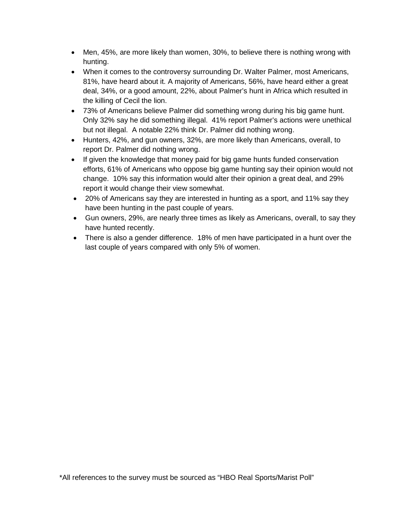- Men, 45%, are more likely than women, 30%, to believe there is nothing wrong with hunting.
- When it comes to the controversy surrounding Dr. Walter Palmer, most Americans, 81%, have heard about it. A majority of Americans, 56%, have heard either a great deal, 34%, or a good amount, 22%, about Palmer's hunt in Africa which resulted in the killing of Cecil the lion.
- 73% of Americans believe Palmer did something wrong during his big game hunt. Only 32% say he did something illegal. 41% report Palmer's actions were unethical but not illegal. A notable 22% think Dr. Palmer did nothing wrong.
- Hunters, 42%, and gun owners, 32%, are more likely than Americans, overall, to report Dr. Palmer did nothing wrong.
- If given the knowledge that money paid for big game hunts funded conservation efforts, 61% of Americans who oppose big game hunting say their opinion would not change. 10% say this information would alter their opinion a great deal, and 29% report it would change their view somewhat.
- 20% of Americans say they are interested in hunting as a sport, and 11% say they have been hunting in the past couple of years.
- Gun owners, 29%, are nearly three times as likely as Americans, overall, to say they have hunted recently.
- There is also a gender difference. 18% of men have participated in a hunt over the last couple of years compared with only 5% of women.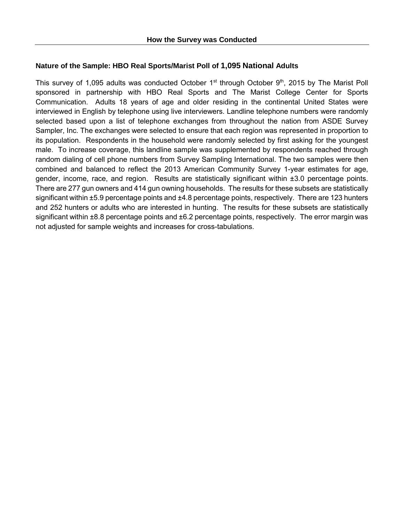#### **Nature of the Sample: HBO Real Sports/Marist Poll of 1,095 National Adults**

This survey of 1,095 adults was conducted October  $1<sup>st</sup>$  through October  $9<sup>th</sup>$ , 2015 by The Marist Poll sponsored in partnership with HBO Real Sports and The Marist College Center for Sports Communication. Adults 18 years of age and older residing in the continental United States were interviewed in English by telephone using live interviewers. Landline telephone numbers were randomly selected based upon a list of telephone exchanges from throughout the nation from ASDE Survey Sampler, Inc. The exchanges were selected to ensure that each region was represented in proportion to its population. Respondents in the household were randomly selected by first asking for the youngest male. To increase coverage, this landline sample was supplemented by respondents reached through random dialing of cell phone numbers from Survey Sampling International. The two samples were then combined and balanced to reflect the 2013 American Community Survey 1-year estimates for age, gender, income, race, and region. Results are statistically significant within ±3.0 percentage points. There are 277 gun owners and 414 gun owning households. The results for these subsets are statistically significant within ±5.9 percentage points and ±4.8 percentage points, respectively. There are 123 hunters and 252 hunters or adults who are interested in hunting. The results for these subsets are statistically significant within ±8.8 percentage points and ±6.2 percentage points, respectively. The error margin was not adjusted for sample weights and increases for cross-tabulations.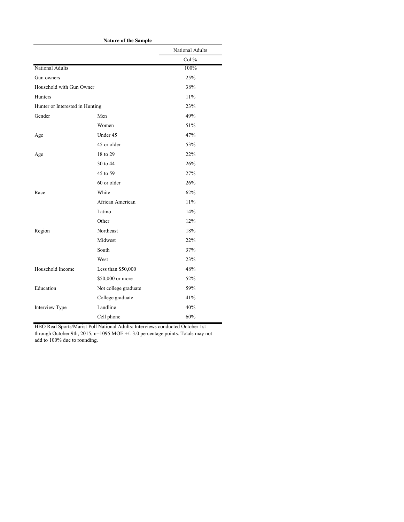|                                 | <b>Nature of the Sample</b> |                 |
|---------------------------------|-----------------------------|-----------------|
|                                 |                             | National Adults |
|                                 |                             | Col %           |
| <b>National Adults</b>          |                             | 100%            |
| Gun owners                      |                             | 25%             |
| Household with Gun Owner        |                             | 38%             |
| Hunters                         |                             | 11%             |
| Hunter or Interested in Hunting |                             | 23%             |
| Gender                          | Men                         | 49%             |
|                                 | Women                       | 51%             |
| Age                             | Under 45                    | 47%             |
|                                 | 45 or older                 | 53%             |
| Age                             | 18 to 29                    | 22%             |
|                                 | 30 to 44                    | 26%             |
|                                 | 45 to 59                    | 27%             |
|                                 | 60 or older                 | 26%             |
| Race                            | White                       | 62%             |
|                                 | African American            | 11%             |
|                                 | Latino                      | 14%             |
|                                 | Other                       | 12%             |
| Region                          | Northeast                   | 18%             |
|                                 | Midwest                     | 22%             |
|                                 | South                       | 37%             |
|                                 | West                        | 23%             |
| Household Income                | Less than \$50,000          | 48%             |
|                                 | \$50,000 or more            | 52%             |
| Education                       | Not college graduate        | 59%             |
|                                 | College graduate            | 41%             |
| Interview Type                  | Landline                    | 40%             |
|                                 | Cell phone                  | 60%             |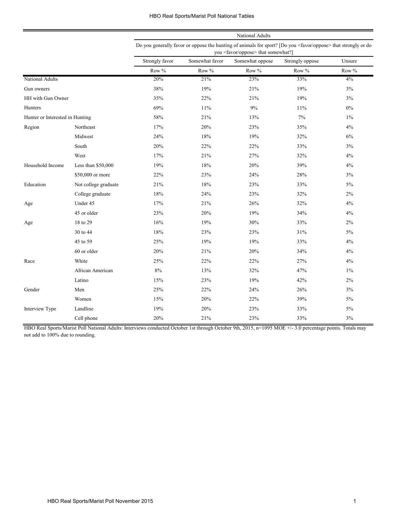#### HBO Real Sports/Marist Poll National Tables

|                                 |                      | National Adults                                                                                                                                                            |                                                                |       |       |       |  |
|---------------------------------|----------------------|----------------------------------------------------------------------------------------------------------------------------------------------------------------------------|----------------------------------------------------------------|-------|-------|-------|--|
|                                 |                      | Do you generally favor or oppose the hunting of animals for sport? [Do you <favor oppose=""> that strongly or do<br/>you <favor oppose=""> that somewhat?]</favor></favor> |                                                                |       |       |       |  |
|                                 |                      | Strongly favor                                                                                                                                                             | Somewhat favor<br>Strongly oppose<br>Unsure<br>Somewhat oppose |       |       |       |  |
|                                 |                      | Row %                                                                                                                                                                      | Row %                                                          | Row % | Row % | Row % |  |
| <b>National Adults</b>          |                      | 20%                                                                                                                                                                        | 21%                                                            | 23%   | 33%   | $4\%$ |  |
| Gun owners                      |                      | 38%                                                                                                                                                                        | 19%                                                            | 21%   | 19%   | 3%    |  |
| HH with Gun Owner               |                      | 35%                                                                                                                                                                        | 22%                                                            | 21%   | 19%   | 3%    |  |
| Hunters                         |                      | 69%                                                                                                                                                                        | 11%                                                            | 9%    | 11%   | $0\%$ |  |
| Hunter or Interested in Hunting |                      | 58%                                                                                                                                                                        | 21%                                                            | 13%   | 7%    | $1\%$ |  |
| Region                          | Northeast            | 17%                                                                                                                                                                        | 20%                                                            | 23%   | 35%   | 4%    |  |
|                                 | Midwest              | 24%                                                                                                                                                                        | 18%                                                            | 19%   | 32%   | 6%    |  |
|                                 | South                | 20%                                                                                                                                                                        | 22%                                                            | 22%   | 33%   | 3%    |  |
|                                 | West                 | 17%                                                                                                                                                                        | 21%                                                            | 27%   | 32%   | 4%    |  |
| Household Income                | Less than \$50,000   | 19%                                                                                                                                                                        | 18%                                                            | 20%   | 39%   | 4%    |  |
|                                 | \$50,000 or more     | 22%                                                                                                                                                                        | 23%                                                            | 24%   | 28%   | 3%    |  |
| Education                       | Not college graduate | 21%                                                                                                                                                                        | 18%                                                            | 23%   | 33%   | 5%    |  |
|                                 | College graduate     | 18%                                                                                                                                                                        | 24%                                                            | 23%   | 32%   | 2%    |  |
| Age                             | Under 45             | 17%                                                                                                                                                                        | 21%                                                            | 26%   | 32%   | 4%    |  |
|                                 | 45 or older          | 23%                                                                                                                                                                        | 20%                                                            | 19%   | 34%   | 4%    |  |
| Age                             | 18 to 29             | 16%                                                                                                                                                                        | 19%                                                            | 30%   | 33%   | 2%    |  |
|                                 | 30 to 44             | 18%                                                                                                                                                                        | 23%                                                            | 23%   | 31%   | 5%    |  |
|                                 | 45 to 59             | 25%                                                                                                                                                                        | 19%                                                            | 19%   | 33%   | 4%    |  |
|                                 | 60 or older          | 20%                                                                                                                                                                        | 21%                                                            | 20%   | 34%   | 4%    |  |
| Race                            | White                | 25%                                                                                                                                                                        | 22%                                                            | 22%   | 27%   | 4%    |  |
|                                 | African American     | 8%                                                                                                                                                                         | 13%                                                            | 32%   | 47%   | $1\%$ |  |
|                                 | Latino               | 15%                                                                                                                                                                        | 23%                                                            | 19%   | 42%   | 2%    |  |
| Gender                          | Men                  | 25%                                                                                                                                                                        | 22%                                                            | 24%   | 26%   | 3%    |  |
|                                 | Women                | 15%                                                                                                                                                                        | 20%                                                            | 22%   | 39%   | $5\%$ |  |
| Interview Type                  | Landline             | 19%                                                                                                                                                                        | 20%                                                            | 23%   | 33%   | 5%    |  |
|                                 | Cell phone           | 20%                                                                                                                                                                        | 21%                                                            | 23%   | 33%   | $3\%$ |  |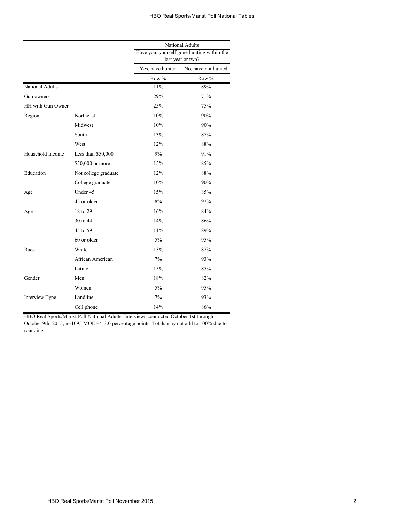|                   |                      | National Adults  |                                                                 |  |  |
|-------------------|----------------------|------------------|-----------------------------------------------------------------|--|--|
|                   |                      |                  | Have you, yourself gone hunting within the<br>last year or two? |  |  |
|                   |                      | Yes, have hunted | No, have not hunted                                             |  |  |
|                   |                      | Row %            | Row %                                                           |  |  |
| National Adults   |                      | 11%              | 89%                                                             |  |  |
| Gun owners        |                      | 29%              | 71%                                                             |  |  |
| HH with Gun Owner |                      | 25%              | 75%                                                             |  |  |
| Region            | Northeast            | 10%              | 90%                                                             |  |  |
|                   | Midwest              | 10%              | 90%                                                             |  |  |
|                   | South                | 13%              | 87%                                                             |  |  |
|                   | West                 | 12%              | 88%                                                             |  |  |
| Household Income  | Less than $$50,000$  | 9%               | 91%                                                             |  |  |
|                   | \$50,000 or more     | 15%              | 85%                                                             |  |  |
| Education         | Not college graduate | 12%              | 88%                                                             |  |  |
|                   | College graduate     | 10%              | 90%                                                             |  |  |
| Age               | Under 45             | 15%              | 85%                                                             |  |  |
|                   | 45 or older          | 8%               | 92%                                                             |  |  |
| Age               | 18 to 29             | 16%              | 84%                                                             |  |  |
|                   | 30 to 44             | 14%              | 86%                                                             |  |  |
|                   | 45 to 59             | 11%              | 89%                                                             |  |  |
|                   | 60 or older          | $5\%$            | 95%                                                             |  |  |
| Race              | White                | 13%              | 87%                                                             |  |  |
|                   | African American     | 7%               | 93%                                                             |  |  |
|                   | Latino               | 15%              | 85%                                                             |  |  |
| Gender            | Men                  | 18%              | 82%                                                             |  |  |
|                   | Women                | $5\%$            | 95%                                                             |  |  |
| Interview Type    | Landline             | 7%               | 93%                                                             |  |  |
|                   | Cell phone           | 14%              | 86%                                                             |  |  |

HBO Real Sports/Marist Poll National Adults: Interviews conducted October 1st through

October 9th, 2015, n=1095 MOE +/- 3.0 percentage points. Totals may not add to 100% due to rounding.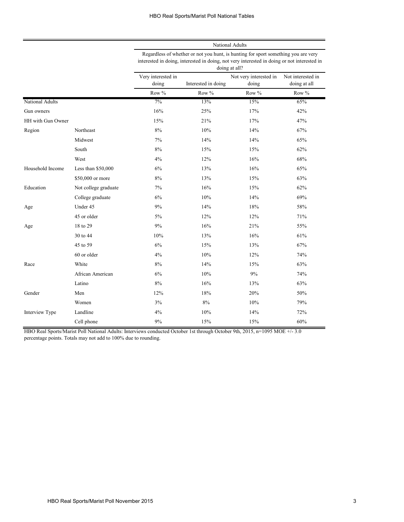|                   |                      | National Adults<br>Regardless of whether or not you hunt, is hunting for sport something you are very<br>interested in doing, interested in doing, not very interested in doing or not interested in<br>doing at all? |                     |                                 |                                   |  |
|-------------------|----------------------|-----------------------------------------------------------------------------------------------------------------------------------------------------------------------------------------------------------------------|---------------------|---------------------------------|-----------------------------------|--|
|                   |                      |                                                                                                                                                                                                                       |                     |                                 |                                   |  |
|                   |                      | Very interested in<br>doing                                                                                                                                                                                           | Interested in doing | Not very interested in<br>doing | Not interested in<br>doing at all |  |
|                   |                      | Row %                                                                                                                                                                                                                 | Row %               | Row %                           | Row %                             |  |
| National Adults   |                      | 7%                                                                                                                                                                                                                    | 13%                 | 15%                             | 65%                               |  |
| Gun owners        |                      | 16%                                                                                                                                                                                                                   | 25%                 | 17%                             | 42%                               |  |
| HH with Gun Owner |                      | 15%                                                                                                                                                                                                                   | 21%                 | 17%                             | 47%                               |  |
| Region            | Northeast            | 8%                                                                                                                                                                                                                    | 10%                 | 14%                             | 67%                               |  |
|                   | Midwest              | 7%                                                                                                                                                                                                                    | 14%                 | 14%                             | 65%                               |  |
|                   | South                | 8%                                                                                                                                                                                                                    | 15%                 | 15%                             | 62%                               |  |
|                   | West                 | 4%                                                                                                                                                                                                                    | 12%                 | 16%                             | 68%                               |  |
| Household Income  | Less than \$50,000   | 6%                                                                                                                                                                                                                    | 13%                 | 16%                             | 65%                               |  |
|                   | \$50,000 or more     | 8%                                                                                                                                                                                                                    | 13%                 | 15%                             | 63%                               |  |
| Education         | Not college graduate | 7%                                                                                                                                                                                                                    | 16%                 | 15%                             | 62%                               |  |
|                   | College graduate     | 6%                                                                                                                                                                                                                    | 10%                 | 14%                             | 69%                               |  |
| Age               | Under 45             | 9%                                                                                                                                                                                                                    | 14%                 | 18%                             | 58%                               |  |
|                   | 45 or older          | 5%                                                                                                                                                                                                                    | 12%                 | 12%                             | 71%                               |  |
| Age               | 18 to 29             | 9%                                                                                                                                                                                                                    | 16%                 | 21%                             | 55%                               |  |
|                   | 30 to 44             | 10%                                                                                                                                                                                                                   | 13%                 | 16%                             | 61%                               |  |
|                   | 45 to 59             | 6%                                                                                                                                                                                                                    | 15%                 | 13%                             | 67%                               |  |
|                   | 60 or older          | 4%                                                                                                                                                                                                                    | 10%                 | 12%                             | 74%                               |  |
| Race              | White                | 8%                                                                                                                                                                                                                    | 14%                 | 15%                             | 63%                               |  |
|                   | African American     | 6%                                                                                                                                                                                                                    | 10%                 | 9%                              | 74%                               |  |
|                   | Latino               | 8%                                                                                                                                                                                                                    | 16%                 | 13%                             | 63%                               |  |
| Gender            | Men                  | 12%                                                                                                                                                                                                                   | 18%                 | 20%                             | 50%                               |  |
|                   | Women                | 3%                                                                                                                                                                                                                    | 8%                  | 10%                             | 79%                               |  |
| Interview Type    | Landline             | 4%                                                                                                                                                                                                                    | 10%                 | 14%                             | 72%                               |  |
|                   | Cell phone           | 9%                                                                                                                                                                                                                    | 15%                 | 15%                             | 60%                               |  |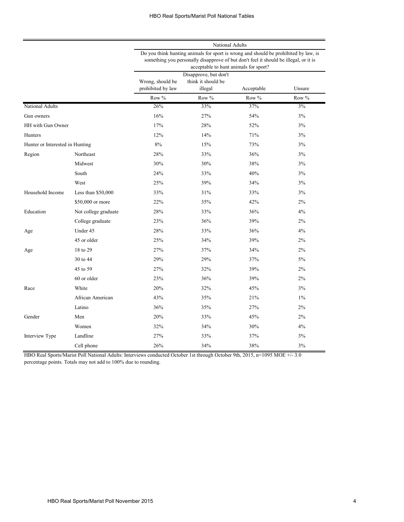|                                 |                      |                                                                                                                                                                                                                      |                                                        | National Adults |        |  |
|---------------------------------|----------------------|----------------------------------------------------------------------------------------------------------------------------------------------------------------------------------------------------------------------|--------------------------------------------------------|-----------------|--------|--|
|                                 |                      | Do you think hunting animals for sport is wrong and should be prohibited by law, is<br>something you personally disapprove of but don't feel it should be illegal, or it is<br>acceptable to hunt animals for sport? |                                                        |                 |        |  |
|                                 |                      | Wrong, should be<br>prohibited by law                                                                                                                                                                                | Disapprove, but don't<br>think it should be<br>illegal | Acceptable      | Unsure |  |
|                                 |                      | Row $%$                                                                                                                                                                                                              | Row $%$                                                | Row %           | Row %  |  |
| National Adults                 |                      | 26%                                                                                                                                                                                                                  | 33%                                                    | 37%             | 3%     |  |
| Gun owners                      |                      | 16%                                                                                                                                                                                                                  | 27%                                                    | 54%             | 3%     |  |
| HH with Gun Owner               |                      | 17%                                                                                                                                                                                                                  | 28%                                                    | 52%             | 3%     |  |
| Hunters                         |                      | 12%                                                                                                                                                                                                                  | 14%                                                    | 71%             | 3%     |  |
| Hunter or Interested in Hunting |                      | $8\%$                                                                                                                                                                                                                | 15%                                                    | 73%             | 3%     |  |
| Region                          | Northeast            | 28%                                                                                                                                                                                                                  | 33%                                                    | 36%             | 3%     |  |
|                                 | Midwest              | 30%                                                                                                                                                                                                                  | 30%                                                    | 38%             | 3%     |  |
|                                 | South                | 24%                                                                                                                                                                                                                  | 33%                                                    | 40%             | 3%     |  |
|                                 | West                 | 25%                                                                                                                                                                                                                  | 39%                                                    | 34%             | 3%     |  |
| Household Income                | Less than $$50,000$  | 33%                                                                                                                                                                                                                  | 31%                                                    | 33%             | 3%     |  |
|                                 | \$50,000 or more     | 22%                                                                                                                                                                                                                  | 35%                                                    | 42%             | 2%     |  |
| Education                       | Not college graduate | 28%                                                                                                                                                                                                                  | 33%                                                    | 36%             | 4%     |  |
|                                 | College graduate     | 23%                                                                                                                                                                                                                  | 36%                                                    | 39%             | 2%     |  |
| Age                             | Under 45             | 28%                                                                                                                                                                                                                  | 33%                                                    | 36%             | 4%     |  |
|                                 | 45 or older          | 25%                                                                                                                                                                                                                  | 34%                                                    | 39%             | 2%     |  |
| Age                             | 18 to 29             | 27%                                                                                                                                                                                                                  | 37%                                                    | 34%             | 2%     |  |
|                                 | 30 to 44             | 29%                                                                                                                                                                                                                  | 29%                                                    | 37%             | 5%     |  |
|                                 | 45 to 59             | 27%                                                                                                                                                                                                                  | 32%                                                    | 39%             | 2%     |  |
|                                 | 60 or older          | 23%                                                                                                                                                                                                                  | 36%                                                    | 39%             | 2%     |  |
| Race                            | White                | 20%                                                                                                                                                                                                                  | 32%                                                    | 45%             | 3%     |  |
|                                 | African American     | 43%                                                                                                                                                                                                                  | 35%                                                    | 21%             | $1\%$  |  |
|                                 | Latino               | 36%                                                                                                                                                                                                                  | 35%                                                    | 27%             | 2%     |  |
| Gender                          | Men                  | 20%                                                                                                                                                                                                                  | 33%                                                    | 45%             | 2%     |  |
|                                 | Women                | 32%                                                                                                                                                                                                                  | 34%                                                    | 30%             | 4%     |  |
| Interview Type                  | Landline             | 27%                                                                                                                                                                                                                  | 33%                                                    | 37%             | 3%     |  |
|                                 | Cell phone           | 26%                                                                                                                                                                                                                  | 34%                                                    | 38%             | 3%     |  |

HBO Real Sports/Marist Poll National Adults: Interviews conducted October 1st through October 9th, 2015, n=1095 MOE +/- 3.0

percentage points. Totals may not add to 100% due to rounding.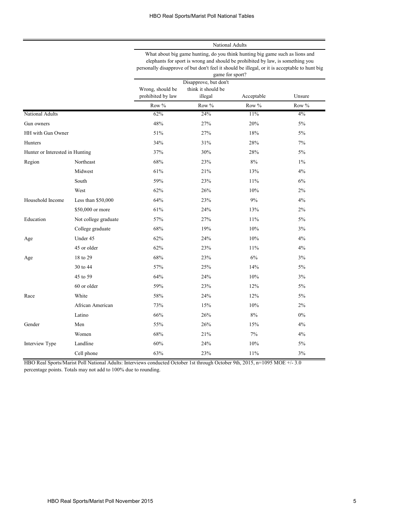National Adults

| What about big game hunting, do you think hunting big game such as lions and                  |
|-----------------------------------------------------------------------------------------------|
| elephants for sport is wrong and should be prohibited by law, is something you                |
| personally disapprove of but don't feel it should be illegal, or it is acceptable to hunt big |
| game for sport?                                                                               |

|                                 |                      | $5univ$ ror opone.<br>Disapprove, but don't<br>Wrong, should be<br>think it should be<br>prohibited by law<br>Acceptable<br>illegal |       |        | Unsure |
|---------------------------------|----------------------|-------------------------------------------------------------------------------------------------------------------------------------|-------|--------|--------|
|                                 |                      | Row %                                                                                                                               | Row % | Row %  | Row %  |
| National Adults                 |                      | 62%                                                                                                                                 | 24%   | 11%    | 4%     |
| Gun owners                      |                      | 48%                                                                                                                                 | 27%   | 20%    | 5%     |
| HH with Gun Owner               |                      | 51%                                                                                                                                 | 27%   | 18%    | 5%     |
| Hunters                         |                      | 34%                                                                                                                                 | 31%   | 28%    | 7%     |
| Hunter or Interested in Hunting |                      | 37%                                                                                                                                 | 30%   | 28%    | $5\%$  |
| Region                          | Northeast            | 68%                                                                                                                                 | 23%   | 8%     | $1\%$  |
|                                 | Midwest              | 61%                                                                                                                                 | 21%   | 13%    | 4%     |
|                                 | South                | 59%                                                                                                                                 | 23%   | 11%    | 6%     |
|                                 | West                 | 62%                                                                                                                                 | 26%   | $10\%$ | $2\%$  |
| Household Income                | Less than \$50,000   | 64%                                                                                                                                 | 23%   | 9%     | 4%     |
|                                 | \$50,000 or more     | 61%                                                                                                                                 | 24%   | 13%    | $2\%$  |
| Education                       | Not college graduate | 57%                                                                                                                                 | 27%   | 11%    | 5%     |
|                                 | College graduate     | 68%                                                                                                                                 | 19%   | 10%    | 3%     |
| Age                             | Under 45             | 62%                                                                                                                                 | 24%   | 10%    | 4%     |
|                                 | 45 or older          | 62%                                                                                                                                 | 23%   | 11%    | 4%     |
| Age                             | 18 to 29             | 68%                                                                                                                                 | 23%   | 6%     | 3%     |
|                                 | 30 to 44             | 57%                                                                                                                                 | 25%   | 14%    | 5%     |
|                                 | 45 to 59             | 64%                                                                                                                                 | 24%   | 10%    | 3%     |
|                                 | 60 or older          | 59%                                                                                                                                 | 23%   | 12%    | 5%     |
| Race                            | White                | 58%                                                                                                                                 | 24%   | 12%    | 5%     |
|                                 | African American     | 73%                                                                                                                                 | 15%   | 10%    | 2%     |
|                                 | Latino               | 66%                                                                                                                                 | 26%   | $8\%$  | $0\%$  |
| Gender                          | Men                  | 55%                                                                                                                                 | 26%   | 15%    | 4%     |
|                                 | Women                | 68%                                                                                                                                 | 21%   | 7%     | 4%     |
| Interview Type                  | Landline             | 60%                                                                                                                                 | 24%   | 10%    | 5%     |
|                                 | Cell phone           | 63%                                                                                                                                 | 23%   | 11%    | 3%     |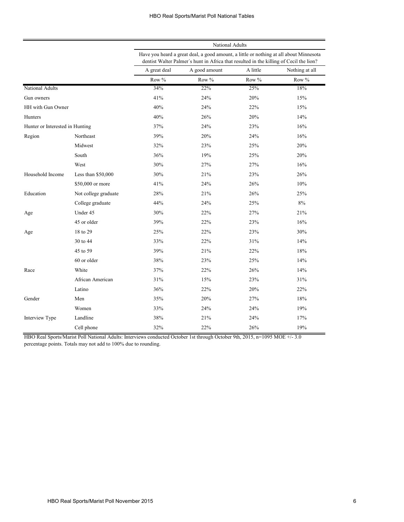|                                 |                      | National Adults                                                                                                                                                                  |               |          |                |  |
|---------------------------------|----------------------|----------------------------------------------------------------------------------------------------------------------------------------------------------------------------------|---------------|----------|----------------|--|
|                                 |                      | Have you heard a great deal, a good amount, a little or nothing at all about Minnesota<br>dentist Walter Palmer's hunt in Africa that resulted in the killing of Cecil the lion? |               |          |                |  |
|                                 |                      | A great deal                                                                                                                                                                     | A good amount | A little | Nothing at all |  |
|                                 |                      | Row %                                                                                                                                                                            | Row %         | Row %    | Row %          |  |
| National Adults                 |                      | 34%                                                                                                                                                                              | 22%           | 25%      | 18%            |  |
| Gun owners                      |                      | 41%                                                                                                                                                                              | 24%           | 20%      | 15%            |  |
| HH with Gun Owner               |                      | 40%                                                                                                                                                                              | 24%           | 22%      | 15%            |  |
| Hunters                         |                      | 40%                                                                                                                                                                              | 26%           | 20%      | 14%            |  |
| Hunter or Interested in Hunting |                      | 37%                                                                                                                                                                              | 24%           | 23%      | 16%            |  |
| Region                          | Northeast            | 39%                                                                                                                                                                              | 20%           | 24%      | 16%            |  |
|                                 | Midwest              | 32%                                                                                                                                                                              | 23%           | 25%      | 20%            |  |
|                                 | South                | 36%                                                                                                                                                                              | 19%           | 25%      | 20%            |  |
|                                 | West                 | 30%                                                                                                                                                                              | 27%           | 27%      | 16%            |  |
| Household Income                | Less than $$50,000$  | 30%                                                                                                                                                                              | 21%           | 23%      | 26%            |  |
|                                 | \$50,000 or more     | 41%                                                                                                                                                                              | 24%           | 26%      | 10%            |  |
| Education                       | Not college graduate | 28%                                                                                                                                                                              | 21%           | 26%      | 25%            |  |
|                                 | College graduate     | 44%                                                                                                                                                                              | 24%           | 25%      | 8%             |  |
| Age                             | Under 45             | 30%                                                                                                                                                                              | 22%           | 27%      | 21%            |  |
|                                 | 45 or older          | 39%                                                                                                                                                                              | 22%           | 23%      | 16%            |  |
| Age                             | 18 to 29             | 25%                                                                                                                                                                              | 22%           | 23%      | 30%            |  |
|                                 | 30 to 44             | 33%                                                                                                                                                                              | 22%           | 31%      | 14%            |  |
|                                 | 45 to 59             | 39%                                                                                                                                                                              | 21%           | 22%      | 18%            |  |
|                                 | 60 or older          | 38%                                                                                                                                                                              | 23%           | 25%      | 14%            |  |
| Race                            | White                | 37%                                                                                                                                                                              | 22%           | 26%      | 14%            |  |
|                                 | African American     | 31%                                                                                                                                                                              | 15%           | 23%      | 31%            |  |
|                                 | Latino               | 36%                                                                                                                                                                              | 22%           | 20%      | 22%            |  |
| Gender                          | Men                  | 35%                                                                                                                                                                              | 20%           | 27%      | 18%            |  |
|                                 | Women                | 33%                                                                                                                                                                              | 24%           | 24%      | 19%            |  |
| Interview Type                  | Landline             | 38%                                                                                                                                                                              | 21%           | 24%      | 17%            |  |
|                                 | Cell phone           | 32%                                                                                                                                                                              | 22%           | 26%      | 19%            |  |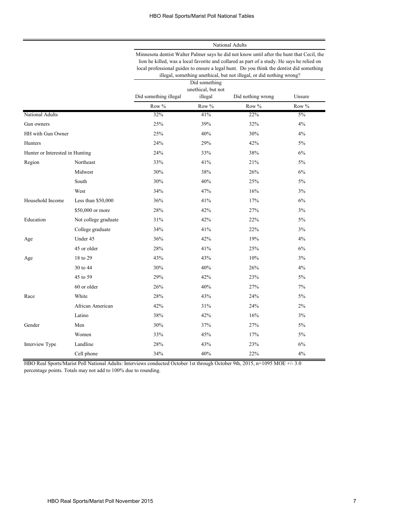National Adults

|                                 |                      | Minnesota dentist Walter Palmer says he did not know until after the hunt that Cecil, the<br>lion he killed, was a local favorite and collared as part of a study. He says he relied on<br>local professional guides to ensure a legal hunt. Do you think the dentist did something<br>illegal, something unethical, but not illegal, or did nothing wrong? |                                                                               |       |       |  |
|---------------------------------|----------------------|-------------------------------------------------------------------------------------------------------------------------------------------------------------------------------------------------------------------------------------------------------------------------------------------------------------------------------------------------------------|-------------------------------------------------------------------------------|-------|-------|--|
|                                 |                      | Did something illegal                                                                                                                                                                                                                                                                                                                                       | Did something<br>unethical, but not<br>Did nothing wrong<br>Unsure<br>illegal |       |       |  |
|                                 |                      | Row %                                                                                                                                                                                                                                                                                                                                                       | Row %                                                                         | Row % | Row % |  |
| National Adults                 |                      | 32%                                                                                                                                                                                                                                                                                                                                                         | 41%                                                                           | 22%   | 5%    |  |
| Gun owners                      |                      | 25%                                                                                                                                                                                                                                                                                                                                                         | 39%                                                                           | 32%   | 4%    |  |
| HH with Gun Owner               |                      | 25%                                                                                                                                                                                                                                                                                                                                                         | 40%                                                                           | 30%   | 4%    |  |
| Hunters                         |                      | 24%                                                                                                                                                                                                                                                                                                                                                         | 29%                                                                           | 42%   | 5%    |  |
| Hunter or Interested in Hunting |                      | 24%                                                                                                                                                                                                                                                                                                                                                         | 33%                                                                           | 38%   | 6%    |  |
| Region                          | Northeast            | 33%                                                                                                                                                                                                                                                                                                                                                         | 41%                                                                           | 21%   | 5%    |  |
|                                 | Midwest              | 30%                                                                                                                                                                                                                                                                                                                                                         | 38%                                                                           | 26%   | 6%    |  |
|                                 | South                | 30%                                                                                                                                                                                                                                                                                                                                                         | 40%                                                                           | 25%   | 5%    |  |
|                                 | West                 | 34%                                                                                                                                                                                                                                                                                                                                                         | 47%                                                                           | 16%   | 3%    |  |
| Household Income                | Less than $$50,000$  | 36%                                                                                                                                                                                                                                                                                                                                                         | 41%                                                                           | 17%   | 6%    |  |
|                                 | \$50,000 or more     | 28%                                                                                                                                                                                                                                                                                                                                                         | 42%                                                                           | 27%   | 3%    |  |
| Education                       | Not college graduate | 31%                                                                                                                                                                                                                                                                                                                                                         | 42%                                                                           | 22%   | 5%    |  |
|                                 | College graduate     | 34%                                                                                                                                                                                                                                                                                                                                                         | 41%                                                                           | 22%   | 3%    |  |
| Age                             | Under 45             | 36%                                                                                                                                                                                                                                                                                                                                                         | 42%                                                                           | 19%   | 4%    |  |
|                                 | 45 or older          | 28%                                                                                                                                                                                                                                                                                                                                                         | 41%                                                                           | 25%   | 6%    |  |
| Age                             | 18 to 29             | 43%                                                                                                                                                                                                                                                                                                                                                         | 43%                                                                           | 10%   | 3%    |  |
|                                 | 30 to 44             | 30%                                                                                                                                                                                                                                                                                                                                                         | 40%                                                                           | 26%   | 4%    |  |
|                                 | 45 to 59             | 29%                                                                                                                                                                                                                                                                                                                                                         | 42%                                                                           | 23%   | 5%    |  |
|                                 | 60 or older          | 26%                                                                                                                                                                                                                                                                                                                                                         | 40%                                                                           | 27%   | 7%    |  |
| Race                            | White                | 28%                                                                                                                                                                                                                                                                                                                                                         | 43%                                                                           | 24%   | 5%    |  |
|                                 | African American     | 42%                                                                                                                                                                                                                                                                                                                                                         | 31%                                                                           | 24%   | 2%    |  |
|                                 | Latino               | 38%                                                                                                                                                                                                                                                                                                                                                         | 42%                                                                           | 16%   | 3%    |  |
| Gender                          | Men                  | 30%                                                                                                                                                                                                                                                                                                                                                         | 37%                                                                           | 27%   | 5%    |  |
|                                 | Women                | 33%                                                                                                                                                                                                                                                                                                                                                         | 45%                                                                           | 17%   | 5%    |  |
| Interview Type                  | Landline             | 28%                                                                                                                                                                                                                                                                                                                                                         | 43%                                                                           | 23%   | 6%    |  |
|                                 | Cell phone           | 34%                                                                                                                                                                                                                                                                                                                                                         | 40%                                                                           | 22%   | 4%    |  |